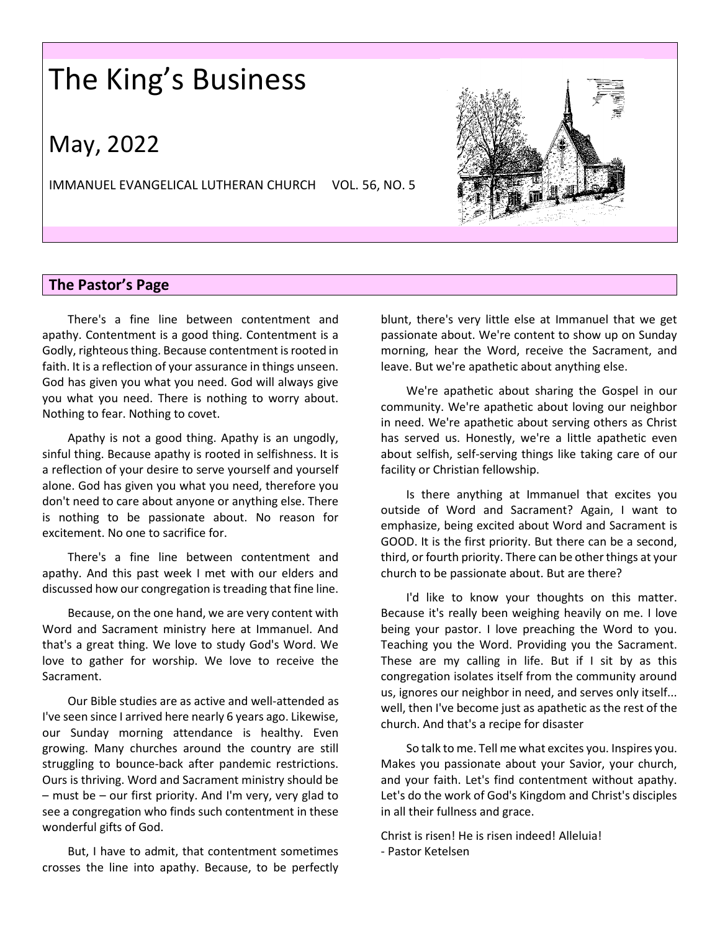# The King's Business

## May, 2022

IMMANUEL EVANGELICAL LUTHERAN CHURCH VOL. 56, NO. 5



### **The Pastor's Page**

There's a fine line between contentment and apathy. Contentment is a good thing. Contentment is a Godly, righteous thing. Because contentment is rooted in faith. It is a reflection of your assurance in things unseen. God has given you what you need. God will always give you what you need. There is nothing to worry about. Nothing to fear. Nothing to covet.

Apathy is not a good thing. Apathy is an ungodly, sinful thing. Because apathy is rooted in selfishness. It is a reflection of your desire to serve yourself and yourself alone. God has given you what you need, therefore you don't need to care about anyone or anything else. There is nothing to be passionate about. No reason for excitement. No one to sacrifice for.

There's a fine line between contentment and apathy. And this past week I met with our elders and discussed how our congregation is treading that fine line.

Because, on the one hand, we are very content with Word and Sacrament ministry here at Immanuel. And that's a great thing. We love to study God's Word. We love to gather for worship. We love to receive the Sacrament.

Our Bible studies are as active and well-attended as I've seen since I arrived here nearly 6 years ago. Likewise, our Sunday morning attendance is healthy. Even growing. Many churches around the country are still struggling to bounce-back after pandemic restrictions. Ours is thriving. Word and Sacrament ministry should be – must be – our first priority. And I'm very, very glad to see a congregation who finds such contentment in these wonderful gifts of God.

But, I have to admit, that contentment sometimes crosses the line into apathy. Because, to be perfectly blunt, there's very little else at Immanuel that we get passionate about. We're content to show up on Sunday morning, hear the Word, receive the Sacrament, and leave. But we're apathetic about anything else.

We're apathetic about sharing the Gospel in our community. We're apathetic about loving our neighbor in need. We're apathetic about serving others as Christ has served us. Honestly, we're a little apathetic even about selfish, self-serving things like taking care of our facility or Christian fellowship.

Is there anything at Immanuel that excites you outside of Word and Sacrament? Again, I want to emphasize, being excited about Word and Sacrament is GOOD. It is the first priority. But there can be a second, third, or fourth priority. There can be other things at your church to be passionate about. But are there?

I'd like to know your thoughts on this matter. Because it's really been weighing heavily on me. I love being your pastor. I love preaching the Word to you. Teaching you the Word. Providing you the Sacrament. These are my calling in life. But if I sit by as this congregation isolates itself from the community around us, ignores our neighbor in need, and serves only itself... well, then I've become just as apathetic as the rest of the church. And that's a recipe for disaster

So talk to me. Tell me what excites you. Inspires you. Makes you passionate about your Savior, your church, and your faith. Let's find contentment without apathy. Let's do the work of God's Kingdom and Christ's disciples in all their fullness and grace.

Christ is risen! He is risen indeed! Alleluia! - Pastor Ketelsen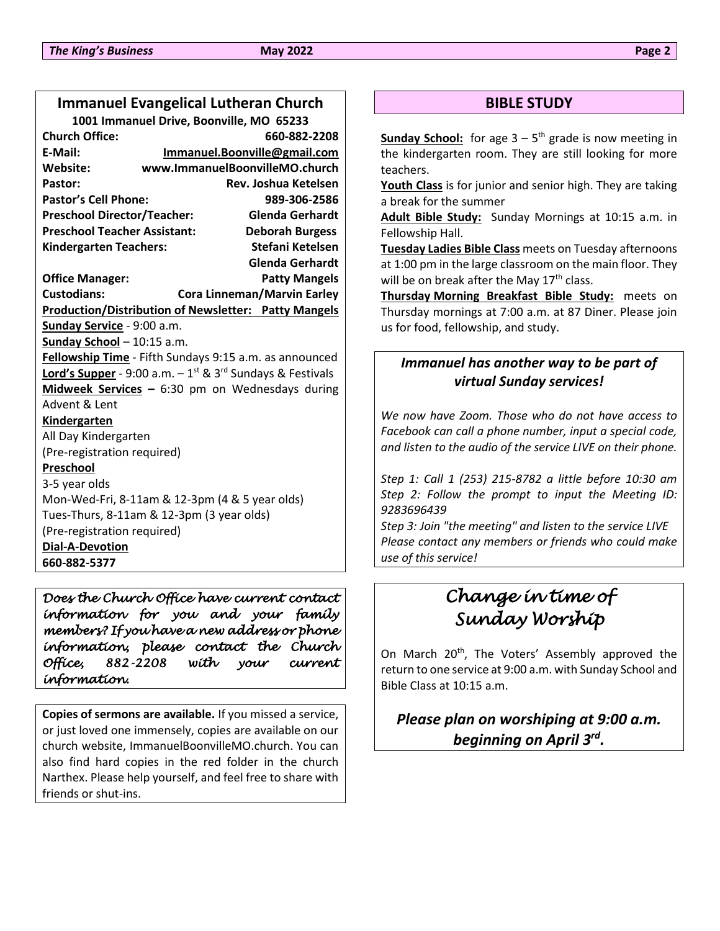### **Immanuel Evangelical Lutheran Church**

**1001 Immanuel Drive, Boonville, MO 65233 Church Office: 660-882-2208 E-Mail: [Immanuel.Boonville@gmail.com](mailto:Immanuel.Boonville@gmail.com) Website: www.ImmanuelBoonvilleMO.church Pastor: Rev. Joshua Ketelsen Pastor's Cell Phone: 989-306-2586 Preschool Director/Teacher: Glenda Gerhardt Preschool Teacher Assistant: Deborah Burgess Kindergarten Teachers: Stefani Ketelsen Glenda Gerhardt Office Manager: Patty Mangels Custodians: Cora Linneman/Marvin Earley Production/Distribution of Newsletter: Patty Mangels Sunday Service** - 9:00 a.m. **Sunday School** – 10:15 a.m. **Fellowship Time** - Fifth Sundays 9:15 a.m. as announced **Lord's Supper** - 9:00 a.m. – 1 st & 3rd Sundays & Festivals **Midweek Services –** 6:30 pm on Wednesdays during Advent & Lent **Kindergarten** All Day Kindergarten (Pre-registration required) **Preschool** 3-5 year olds Mon-Wed-Fri, 8-11am & 12-3pm (4 & 5 year olds) Tues-Thurs, 8-11am & 12-3pm (3 year olds) (Pre-registration required) **Dial-A-Devotion 660-882-5377**

*Does the Church Office have current contact information for you and your family members? If you have a new address or phone information, please contact the Church Office, 882-2208 with your current information.* 

**Copies of sermons are available.** If you missed a service, or just loved one immensely, copies are available on our church website, ImmanuelBoonvilleMO.church. You can also find hard copies in the red folder in the church Narthex. Please help yourself, and feel free to share with friends or shut-ins.

### **BIBLE STUDY**

**Sunday School:** for age 3 – 5 th grade is now meeting in the kindergarten room. They are still looking for more teachers.

**Youth Class** is for junior and senior high. They are taking a break for the summer

**Adult Bible Study:** Sunday Mornings at 10:15 a.m. in Fellowship Hall.

**Tuesday Ladies Bible Class** meets on Tuesday afternoons at 1:00 pm in the large classroom on the main floor. They will be on break after the May  $17<sup>th</sup>$  class.

**Thursday Morning Breakfast Bible Study:** meets on Thursday mornings at 7:00 a.m. at 87 Diner. Please join us for food, fellowship, and study.

### *Immanuel has another way to be part of virtual Sunday services!*

*We now have Zoom. Those who do not have access to Facebook can call a phone number, input a special code, and listen to the audio of the service LIVE on their phone.*

*Step 1: Call 1 (253) 215-8782 a little before 10:30 am Step 2: Follow the prompt to input the Meeting ID: 9283696439*

*Step 3: Join "the meeting" and listen to the service LIVE Please contact any members or friends who could make use of this service!*

## *Change in time of Sunday Worship*

On March 20<sup>th</sup>, The Voters' Assembly approved the return to one service at 9:00 a.m. with Sunday School and Bible Class at 10:15 a.m.

### *Please plan on worshiping at 9:00 a.m. beginning on April 3rd .*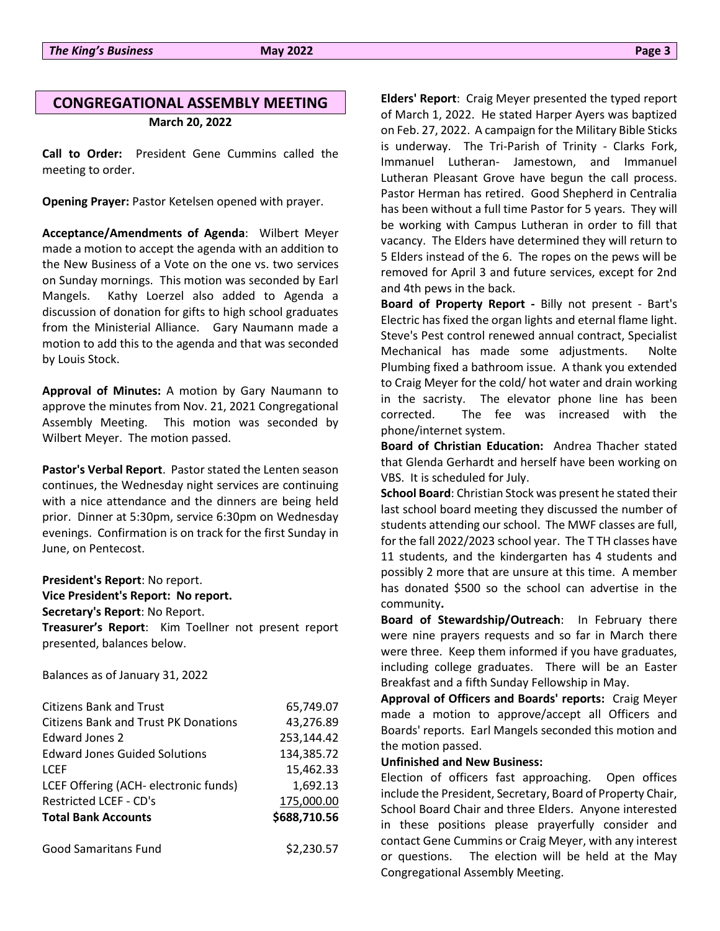### **CONGREGATIONAL ASSEMBLY MEETING March 20, 2022**

**Call to Order:** President Gene Cummins called the meeting to order.

**Opening Prayer:** Pastor Ketelsen opened with prayer.

**Acceptance/Amendments of Agenda**: Wilbert Meyer made a motion to accept the agenda with an addition to the New Business of a Vote on the one vs. two services on Sunday mornings. This motion was seconded by Earl Mangels. Kathy Loerzel also added to Agenda a discussion of donation for gifts to high school graduates from the Ministerial Alliance. Gary Naumann made a motion to add this to the agenda and that was seconded by Louis Stock.

**Approval of Minutes:** A motion by Gary Naumann to approve the minutes from Nov. 21, 2021 Congregational Assembly Meeting. This motion was seconded by Wilbert Meyer. The motion passed.

**Pastor's Verbal Report**. Pastor stated the Lenten season continues, the Wednesday night services are continuing with a nice attendance and the dinners are being held prior. Dinner at 5:30pm, service 6:30pm on Wednesday evenings. Confirmation is on track for the first Sunday in June, on Pentecost.

**President's Report**: No report. **Vice President's Report: No report. Secretary's Report**: No Report.

**Treasurer's Report**: Kim Toellner not present report presented, balances below.

Balances as of January 31, 2022

| <b>Citizens Bank and Trust</b>              | 65,749.07    |
|---------------------------------------------|--------------|
| <b>Citizens Bank and Trust PK Donations</b> | 43,276.89    |
| Edward Jones 2                              | 253,144.42   |
| <b>Edward Jones Guided Solutions</b>        | 134,385.72   |
| <b>LCEF</b>                                 | 15,462.33    |
| LCEF Offering (ACH- electronic funds)       | 1,692.13     |
| Restricted LCEF - CD's                      | 175,000.00   |
| <b>Total Bank Accounts</b>                  | \$688,710.56 |
| <b>Good Samaritans Fund</b>                 | \$2,230.57   |

**Elders' Report**: Craig Meyer presented the typed report of March 1, 2022. He stated Harper Ayers was baptized on Feb. 27, 2022. A campaign for the Military Bible Sticks is underway. The Tri-Parish of Trinity - Clarks Fork, Immanuel Lutheran- Jamestown, and Immanuel Lutheran Pleasant Grove have begun the call process. Pastor Herman has retired. Good Shepherd in Centralia has been without a full time Pastor for 5 years. They will be working with Campus Lutheran in order to fill that vacancy. The Elders have determined they will return to 5 Elders instead of the 6. The ropes on the pews will be removed for April 3 and future services, except for 2nd and 4th pews in the back.

**Board of Property Report -** Billy not present - Bart's Electric has fixed the organ lights and eternal flame light. Steve's Pest control renewed annual contract, Specialist Mechanical has made some adjustments. Nolte Plumbing fixed a bathroom issue. A thank you extended to Craig Meyer for the cold/ hot water and drain working in the sacristy. The elevator phone line has been corrected. The fee was increased with the phone/internet system.

**Board of Christian Education:** Andrea Thacher stated that Glenda Gerhardt and herself have been working on VBS. It is scheduled for July.

**School Board**: Christian Stock was present he stated their last school board meeting they discussed the number of students attending our school. The MWF classes are full, for the fall 2022/2023 school year. The T TH classes have 11 students, and the kindergarten has 4 students and possibly 2 more that are unsure at this time. A member has donated \$500 so the school can advertise in the community**.**

**Board of Stewardship/Outreach**: In February there were nine prayers requests and so far in March there were three. Keep them informed if you have graduates, including college graduates. There will be an Easter Breakfast and a fifth Sunday Fellowship in May.

**Approval of Officers and Boards' reports:** Craig Meyer made a motion to approve/accept all Officers and Boards' reports. Earl Mangels seconded this motion and the motion passed.

### **Unfinished and New Business:**

Election of officers fast approaching. Open offices include the President, Secretary, Board of Property Chair, School Board Chair and three Elders. Anyone interested in these positions please prayerfully consider and contact Gene Cummins or Craig Meyer, with any interest or questions. The election will be held at the May Congregational Assembly Meeting.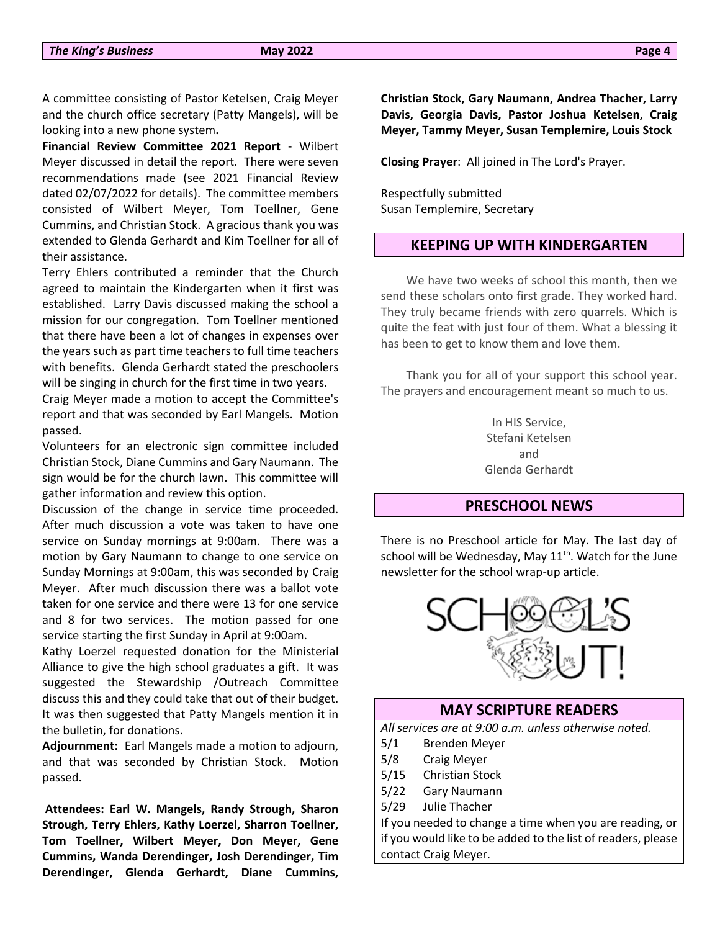A committee consisting of Pastor Ketelsen, Craig Meyer and the church office secretary (Patty Mangels), will be looking into a new phone system**.**

**Financial Review Committee 2021 Report** - Wilbert Meyer discussed in detail the report. There were seven recommendations made (see 2021 Financial Review dated 02/07/2022 for details). The committee members consisted of Wilbert Meyer, Tom Toellner, Gene Cummins, and Christian Stock. A gracious thank you was extended to Glenda Gerhardt and Kim Toellner for all of their assistance.

Terry Ehlers contributed a reminder that the Church agreed to maintain the Kindergarten when it first was established. Larry Davis discussed making the school a mission for our congregation. Tom Toellner mentioned that there have been a lot of changes in expenses over the years such as part time teachers to full time teachers with benefits. Glenda Gerhardt stated the preschoolers will be singing in church for the first time in two years.

Craig Meyer made a motion to accept the Committee's report and that was seconded by Earl Mangels. Motion passed.

Volunteers for an electronic sign committee included Christian Stock, Diane Cummins and Gary Naumann. The sign would be for the church lawn. This committee will gather information and review this option.

Discussion of the change in service time proceeded. After much discussion a vote was taken to have one service on Sunday mornings at 9:00am. There was a motion by Gary Naumann to change to one service on Sunday Mornings at 9:00am, this was seconded by Craig Meyer. After much discussion there was a ballot vote taken for one service and there were 13 for one service and 8 for two services. The motion passed for one service starting the first Sunday in April at 9:00am.

Kathy Loerzel requested donation for the Ministerial Alliance to give the high school graduates a gift. It was suggested the Stewardship /Outreach Committee discuss this and they could take that out of their budget. It was then suggested that Patty Mangels mention it in the bulletin, for donations.

**Adjournment:** Earl Mangels made a motion to adjourn, and that was seconded by Christian Stock. Motion passed**.**

**Attendees: Earl W. Mangels, Randy Strough, Sharon Strough, Terry Ehlers, Kathy Loerzel, Sharron Toellner, Tom Toellner, Wilbert Meyer, Don Meyer, Gene Cummins, Wanda Derendinger, Josh Derendinger, Tim Derendinger, Glenda Gerhardt, Diane Cummins,** 

**Christian Stock, Gary Naumann, Andrea Thacher, Larry Davis, Georgia Davis, Pastor Joshua Ketelsen, Craig Meyer, Tammy Meyer, Susan Templemire, Louis Stock**

**Closing Prayer**: All joined in The Lord's Prayer.

Respectfully submitted Susan Templemire, Secretary

### **KEEPING UP WITH KINDERGARTEN**

We have two weeks of school this month, then we send these scholars onto first grade. They worked hard. They truly became friends with zero quarrels. Which is quite the feat with just four of them. What a blessing it has been to get to know them and love them.

Thank you for all of your support this school year. The prayers and encouragement meant so much to us.

> In HIS Service, Stefani Ketelsen and Glenda Gerhardt

### **PRESCHOOL NEWS**

There is no Preschool article for May. The last day of school will be Wednesday, May  $11<sup>th</sup>$ . Watch for the June newsletter for the school wrap-up article.



### **MAY SCRIPTURE READERS**

*All services are at 9:00 a.m. unless otherwise noted.*

- 5/1 Brenden Meyer
- 5/8 Craig Meyer
- 5/15 Christian Stock
- 5/22 Gary Naumann
- 5/29 Julie Thacher

If you needed to change a time when you are reading, or if you would like to be added to the list of readers, please contact Craig Meyer.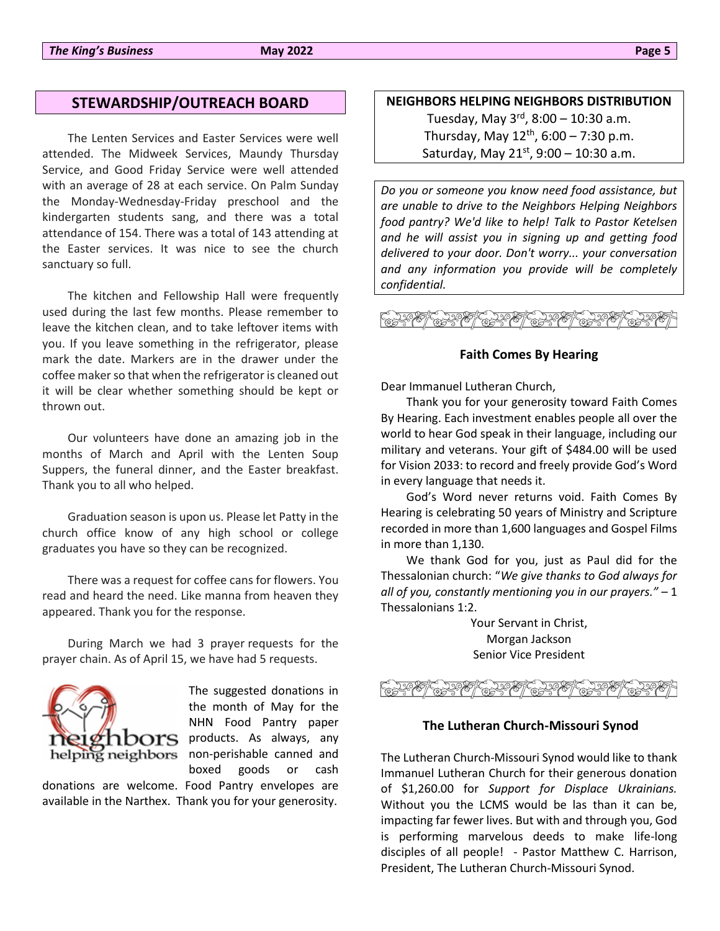### **STEWARDSHIP/OUTREACH BOARD**

The Lenten Services and Easter Services were well attended. The Midweek Services, Maundy Thursday Service, and Good Friday Service were well attended with an average of 28 at each service. On Palm Sunday the Monday-Wednesday-Friday preschool and the kindergarten students sang, and there was a total attendance of 154. There was a total of 143 attending at the Easter services. It was nice to see the church sanctuary so full.

The kitchen and Fellowship Hall were frequently used during the last few months. Please remember to leave the kitchen clean, and to take leftover items with you. If you leave something in the refrigerator, please mark the date. Markers are in the drawer under the coffee maker so that when the refrigerator is cleaned out it will be clear whether something should be kept or thrown out.

Our volunteers have done an amazing job in the months of March and April with the Lenten Soup Suppers, the funeral dinner, and the Easter breakfast. Thank you to all who helped.

Graduation season is upon us. Please let Patty in the church office know of any high school or college graduates you have so they can be recognized.

There was a request for coffee cans for flowers. You read and heard the need. Like manna from heaven they appeared. Thank you for the response.

During March we had 3 prayer requests for the prayer chain. As of April 15, we have had 5 requests.



The suggested donations in the month of May for the NHN Food Pantry paper **LOOTS** products. As always, any helping neighbors non-perishable canned and boxed goods or cash

donations are welcome. Food Pantry envelopes are available in the Narthex. Thank you for your generosity.

### **NEIGHBORS HELPING NEIGHBORS DISTRIBUTION**

Tuesday, May 3<sup>rd</sup>, 8:00 – 10:30 a.m. Thursday, May 12<sup>th</sup>, 6:00 – 7:30 p.m. Saturday, May 21<sup>st</sup>, 9:00 – 10:30 a.m.

*Do you or someone you know need food assistance, but are unable to drive to the Neighbors Helping Neighbors food pantry? We'd like to help! Talk to Pastor Ketelsen and he will assist you in signing up and getting food delivered to your door. Don't worry... your conversation and any information you provide will be completely confidential.*

### فيهجوهم المارجح المارجح المارجين

### **Faith Comes By Hearing**

Dear Immanuel Lutheran Church,

Thank you for your generosity toward Faith Comes By Hearing. Each investment enables people all over the world to hear God speak in their language, including our military and veterans. Your gift of \$484.00 will be used for Vision 2033: to record and freely provide God's Word in every language that needs it.

God's Word never returns void. Faith Comes By Hearing is celebrating 50 years of Ministry and Scripture recorded in more than 1,600 languages and Gospel Films in more than 1,130.

We thank God for you, just as Paul did for the Thessalonian church: "*We give thanks to God always for all of you, constantly mentioning you in our prayers." –* 1 Thessalonians 1:2.

> Your Servant in Christ, Morgan Jackson Senior Vice President

### كالمجتوين أنصا بمجتوين أيعام والمامجتين أنصا كالجنوب

### **The Lutheran Church-Missouri Synod**

The Lutheran Church-Missouri Synod would like to thank Immanuel Lutheran Church for their generous donation of \$1,260.00 for *Support for Displace Ukrainians.*  Without you the LCMS would be las than it can be, impacting far fewer lives. But with and through you, God is performing marvelous deeds to make life-long disciples of all people! - Pastor Matthew C. Harrison, President, The Lutheran Church-Missouri Synod.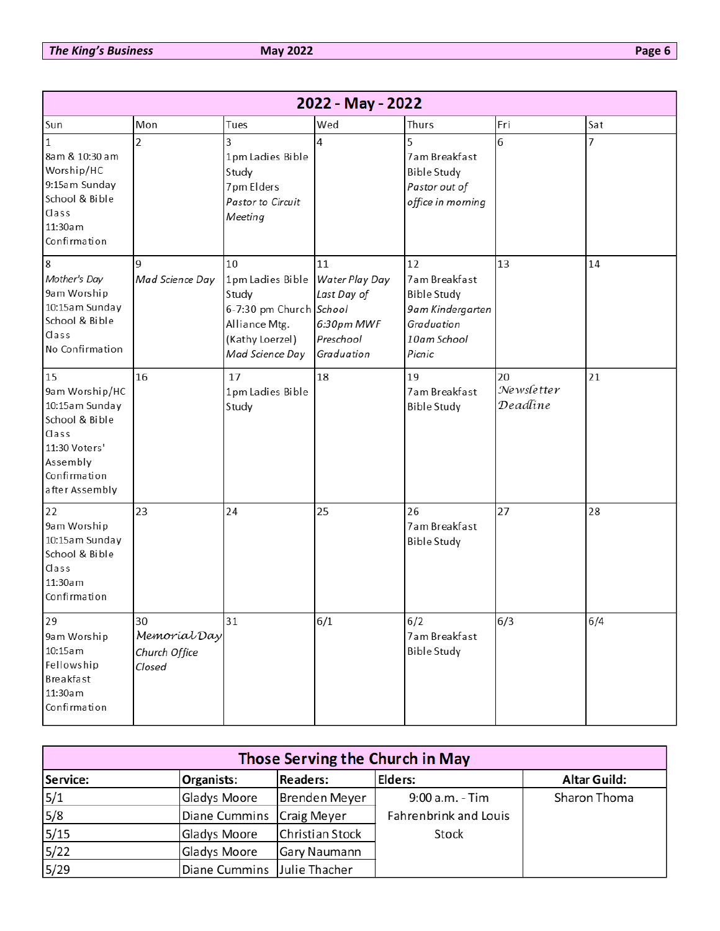| 2022 - May - 2022                                                                                                                |                                               |                                                                                                                   |                                                                              |                                                                                                      |                              |     |
|----------------------------------------------------------------------------------------------------------------------------------|-----------------------------------------------|-------------------------------------------------------------------------------------------------------------------|------------------------------------------------------------------------------|------------------------------------------------------------------------------------------------------|------------------------------|-----|
| Sun                                                                                                                              | Mon                                           | Tues                                                                                                              | Wed                                                                          | Thurs                                                                                                | Fri                          | Sat |
| 1<br>8am & 10:30 am<br>Worship/HC<br>9:15am Sunday<br>School & Bible<br>Class<br>11:30am<br>Confirmation                         | $\overline{2}$                                | 3<br>1pm Ladies Bible<br>Study<br>7pm Elders<br>Pastor to Circuit<br>Meeting                                      | 4                                                                            | 5<br>7am Breakfast<br><b>Bible Study</b><br>Pastor out of<br>office in morning                       | 6                            | 7   |
| $\boldsymbol{8}$<br>Mother's Day<br>9am Worship<br>10:15am Sunday<br>School & Bible<br>Class<br>No Confirmation                  | q<br>Mad Science Day                          | 10<br>1pm Ladies Bible<br>Study<br>6-7:30 pm Church School<br>Alliance Mtg.<br>(Kathy Loerzel)<br>Mad Science Day | 11<br>Water Play Day<br>Last Day of<br>6:30pm MWF<br>Preschool<br>Graduation | 12<br>7am Breakfast<br><b>Bible Study</b><br>9am Kindergarten<br>Graduation<br>10am School<br>Picnic | 13                           | 14  |
| 15<br>9am Worship/HC<br>10:15am Sunday<br>School & Bible<br>Class<br>11:30 Voters'<br>Assembly<br>Confirmation<br>after Assembly | 16                                            | 17<br>1pm Ladies Bible<br>Study                                                                                   | 18                                                                           | 19<br>7am Breakfast<br><b>Bible Study</b>                                                            | 20<br>Newsletter<br>Deadline | 21  |
| 22<br>9am Worship<br>10:15am Sunday<br>School & Bible<br>Class<br>11:30am<br>Confirmation                                        | 23                                            | 24                                                                                                                | 25                                                                           | 26<br>7am Breakfast<br><b>Bible Study</b>                                                            | 27                           | 28  |
| 29<br>9am Worship<br>10:15am<br>Fellowship<br>Breakfast<br>11:30am<br>Confirmation                                               | 30<br>Memorial Day<br>Church Office<br>Closed | 31                                                                                                                | 6/1                                                                          | 6/2<br>7am Breakfast<br><b>Bible Study</b>                                                           | 6/3                          | 6/4 |

| Those Serving the Church in May |                             |                 |                       |                     |
|---------------------------------|-----------------------------|-----------------|-----------------------|---------------------|
| Service:                        | Organists:                  | <b>Readers:</b> | Elders:               | <b>Altar Guild:</b> |
| 5/1                             | Gladys Moore                | Brenden Meyer   | $9:00$ a.m. - Tim     | Sharon Thoma        |
| 5/8                             | Diane Cummins Craig Meyer   |                 | Fahrenbrink and Louis |                     |
| 5/15                            | Gladys Moore                | Christian Stock | Stock                 |                     |
| $5/22$                          | Gladys Moore                | Gary Naumann    |                       |                     |
| 5/29                            | Diane Cummins Julie Thacher |                 |                       |                     |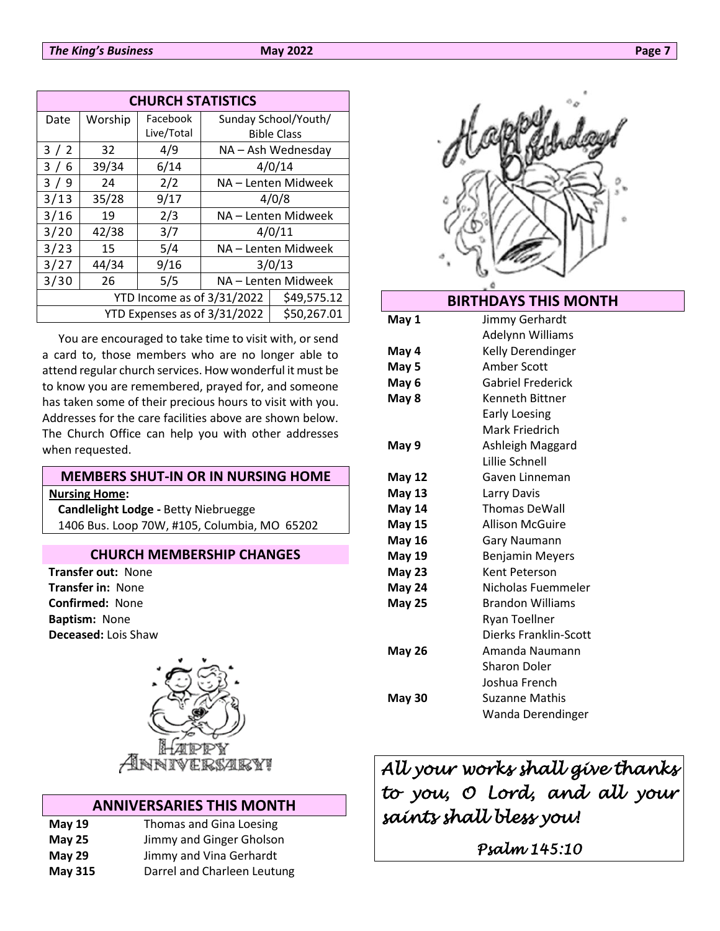| <b>CHURCH STATISTICS</b>     |         |            |                     |                      |
|------------------------------|---------|------------|---------------------|----------------------|
| Date                         | Worship | Facebook   |                     | Sunday School/Youth/ |
|                              |         | Live/Total |                     | <b>Bible Class</b>   |
| 3/2                          | 32      | 4/9        |                     | NA - Ash Wednesday   |
| 3/6                          | 39/34   | 6/14       | 4/0/14              |                      |
| 3/9                          | 24      | 2/2        | NA - Lenten Midweek |                      |
| 3/13                         | 35/28   | 9/17       | 4/0/8               |                      |
| 3/16                         | 19      | 2/3        | NA - Lenten Midweek |                      |
| 3/20                         | 42/38   | 3/7        | 4/0/11              |                      |
| 3/23                         | 15      | 5/4        | NA - Lenten Midweek |                      |
| 3/27                         | 44/34   | 9/16       | 3/0/13              |                      |
| 3/30                         | 26      | 5/5        | NA - Lenten Midweek |                      |
| YTD Income as of 3/31/2022   |         |            | \$49,575.12         |                      |
| YTD Expenses as of 3/31/2022 |         |            |                     | \$50,267.01          |

You are encouraged to take time to visit with, or send a card to, those members who are no longer able to attend regular church services. How wonderful it must be to know you are remembered, prayed for, and someone has taken some of their precious hours to visit with you. Addresses for the care facilities above are shown below. The Church Office can help you with other addresses when requested.

### **MEMBERS SHUT-IN OR IN NURSING HOME Nursing Home: Candlelight Lodge -** Betty Niebruegge

1406 Bus. Loop 70W, #105, Columbia, MO 65202

### **CHURCH MEMBERSHIP CHANGES**

**Transfer out:** None **Transfer in:** None **Confirmed:** None **Baptism:** None **Deceased:** Lois Shaw



### **ANNIVERSARIES THIS MONTH**

| May $19$       | Thomas and Gina Loesing     |
|----------------|-----------------------------|
| <b>May 25</b>  | Jimmy and Ginger Gholson    |
| May 29         | Jimmy and Vina Gerhardt     |
| <b>May 315</b> | Darrel and Charleen Leutung |



### **BIRTHDAYS THIS MONTH**

| May 1         | Jimmy Gerhardt           |  |
|---------------|--------------------------|--|
|               | Adelynn Williams         |  |
| May 4         | Kelly Derendinger        |  |
| May 5         | Amber Scott              |  |
| May 6         | <b>Gabriel Frederick</b> |  |
| May 8         | Kenneth Bittner          |  |
|               | Early Loesing            |  |
|               | Mark Friedrich           |  |
| May 9         | Ashleigh Maggard         |  |
|               | Lillie Schnell           |  |
| <b>May 12</b> | Gaven Linneman           |  |
| <b>May 13</b> | Larry Davis              |  |
| <b>May 14</b> | <b>Thomas DeWall</b>     |  |
| <b>May 15</b> | <b>Allison McGuire</b>   |  |
| <b>May 16</b> | Gary Naumann             |  |
| <b>May 19</b> | <b>Benjamin Meyers</b>   |  |
| <b>May 23</b> | Kent Peterson            |  |
| <b>May 24</b> | Nicholas Fuemmeler       |  |
| <b>May 25</b> | <b>Brandon Williams</b>  |  |
|               | <b>Ryan Toellner</b>     |  |
|               | Dierks Franklin-Scott    |  |
| May 26        | Amanda Naumann           |  |
|               | <b>Sharon Doler</b>      |  |
|               | Joshua French            |  |
| May 30        | Suzanne Mathis           |  |
|               | Wanda Derendinger        |  |

*All your works shall give thanks to you, O Lord, and all your saints shall bless you!* 

*Psalm 145:10*